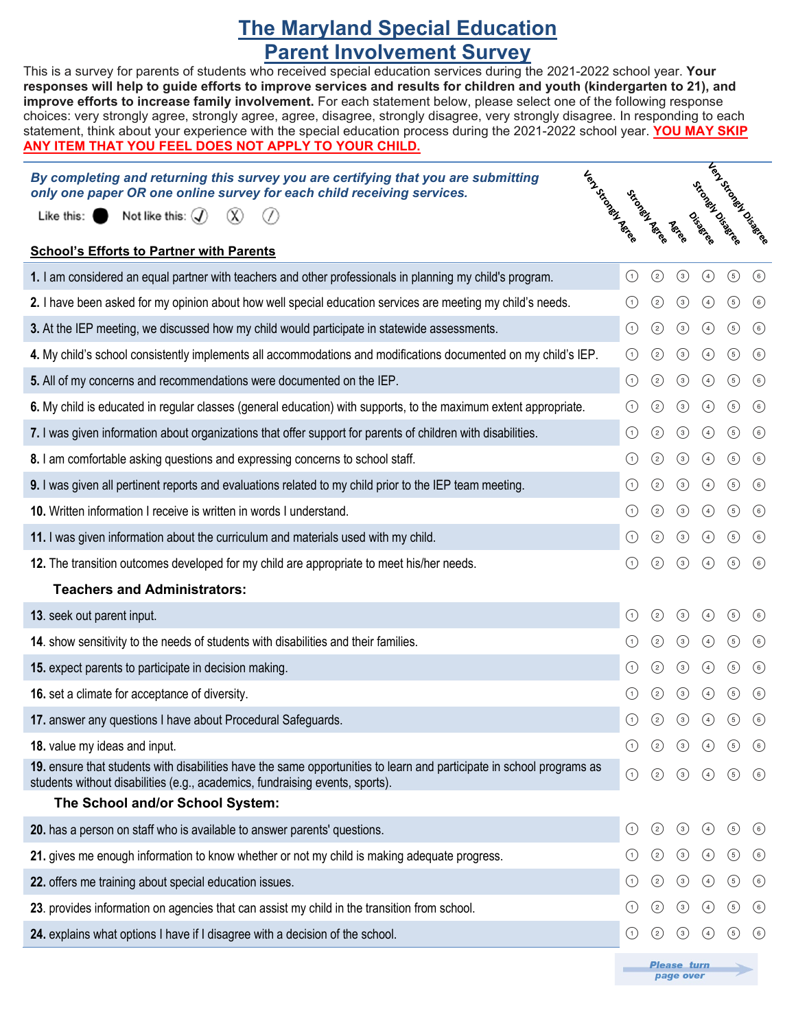## **The Maryland Special Education Parent Involvement Survey**

This is a survey for parents of students who received special education services during the 2021-2022 school year. **Your** 

| responses will help to guide efforts to improve services and results for children and youth (kindergarten to 21), and<br>improve efforts to increase family involvement. For each statement below, please select one of the following response<br>choices: very strongly agree, strongly agree, agree, disagree, strongly disagree, very strongly disagree. In responding to each<br>statement, think about your experience with the special education process during the 2021-2022 school year. YOU MAY SKIP<br><u>ANY ITEM THAT YOU FEEL DOES NOT APPLY TO YOUR CHILD.</u> |                   |                   |                  |                            |                       |         |
|------------------------------------------------------------------------------------------------------------------------------------------------------------------------------------------------------------------------------------------------------------------------------------------------------------------------------------------------------------------------------------------------------------------------------------------------------------------------------------------------------------------------------------------------------------------------------|-------------------|-------------------|------------------|----------------------------|-----------------------|---------|
| I EST-STATES<br>By completing and returning this survey you are certifying that you are submitting<br>only one paper OR one online survey for each child receiving services.<br>Not like this: $\mathcal{F}$<br>Like this:                                                                                                                                                                                                                                                                                                                                                   |                   | Gricokakionia     | <b>Religion</b>  | ricolasier Diego<br>Oiseas | Lendronder Dispersion |         |
| <b>School's Efforts to Partner with Parents</b>                                                                                                                                                                                                                                                                                                                                                                                                                                                                                                                              |                   |                   |                  |                            |                       |         |
| 1. I am considered an equal partner with teachers and other professionals in planning my child's program.                                                                                                                                                                                                                                                                                                                                                                                                                                                                    | $\odot$           | $\odot$           | $\odot$          | $\odot$                    | $\circled{5}$         | $\odot$ |
| 2. I have been asked for my opinion about how well special education services are meeting my child's needs.                                                                                                                                                                                                                                                                                                                                                                                                                                                                  |                   | ⓒ                 | $\odot$          | $\bigcirc$                 | $\odot$               | $\odot$ |
| 3. At the IEP meeting, we discussed how my child would participate in statewide assessments.                                                                                                                                                                                                                                                                                                                                                                                                                                                                                 | $\left( 1\right)$ | $\odot$           | $\odot$          | $\bigcirc$                 | $\odot$               | $\odot$ |
| 4. My child's school consistently implements all accommodations and modifications documented on my child's IEP.                                                                                                                                                                                                                                                                                                                                                                                                                                                              | (1)               | $\circled{2}$     | $\odot$          | $\bigcirc$                 | $\odot$               | $\odot$ |
| 5. All of my concerns and recommendations were documented on the IEP.                                                                                                                                                                                                                                                                                                                                                                                                                                                                                                        | ⊙                 | $\circledcirc$    | $\odot$          | $\bigcirc$                 | $\odot$               | $\odot$ |
| 6. My child is educated in regular classes (general education) with supports, to the maximum extent appropriate.                                                                                                                                                                                                                                                                                                                                                                                                                                                             | (1)               | ☺                 | $\odot$          | $\bigcirc$                 | $\odot$               | $\odot$ |
| 7. I was given information about organizations that offer support for parents of children with disabilities.                                                                                                                                                                                                                                                                                                                                                                                                                                                                 | ⊙                 | $\odot$           | $\odot$          | $\bigcirc$                 | $\odot$               | $\odot$ |
| 8. I am comfortable asking questions and expressing concerns to school staff.                                                                                                                                                                                                                                                                                                                                                                                                                                                                                                |                   | ⓒ                 | $\odot$          | $\bigcirc$                 | $\odot$               | $\odot$ |
| 9. I was given all pertinent reports and evaluations related to my child prior to the IEP team meeting.                                                                                                                                                                                                                                                                                                                                                                                                                                                                      | (1)               | ⓒ                 | $\odot$          | $\bigcirc$                 | $\odot$               | $\odot$ |
| 10. Written information I receive is written in words I understand.                                                                                                                                                                                                                                                                                                                                                                                                                                                                                                          | (1)               | $\circled{2}$     | $\odot$          | $\bigcirc$                 | $\odot$               | $\odot$ |
| 11. I was given information about the curriculum and materials used with my child.                                                                                                                                                                                                                                                                                                                                                                                                                                                                                           | $\left( 1\right)$ | ⓒ                 | $\odot$          | $\bigcirc$                 | $\odot$               | $\odot$ |
| 12. The transition outcomes developed for my child are appropriate to meet his/her needs.                                                                                                                                                                                                                                                                                                                                                                                                                                                                                    |                   | $\left( 2\right)$ | $\odot$          | $\bigcirc$                 | $\odot$               | $\odot$ |
| <b>Teachers and Administrators:</b>                                                                                                                                                                                                                                                                                                                                                                                                                                                                                                                                          |                   |                   |                  |                            |                       |         |
| 13. seek out parent input.                                                                                                                                                                                                                                                                                                                                                                                                                                                                                                                                                   | (1)               | $\left( 2\right)$ | $\left(3\right)$ | (4)                        | (5)                   | (6)     |
| 14. show sensitivity to the needs of students with disabilities and their families.                                                                                                                                                                                                                                                                                                                                                                                                                                                                                          |                   | $\left( 2\right)$ | $\odot$          | $\odot$                    | (5)                   | $\odot$ |
| 15. expect parents to participate in decision making.                                                                                                                                                                                                                                                                                                                                                                                                                                                                                                                        |                   | $\odot$           | $\odot$          | $\bigcirc$                 | $\circled{5}$         | $\odot$ |
| 16. set a climate for acceptance of diversity.                                                                                                                                                                                                                                                                                                                                                                                                                                                                                                                               |                   | $\odot$           | $\odot$          | $\bigcirc$                 | $\circled{5}$         | $\odot$ |
| 17. answer any questions I have about Procedural Safeguards.                                                                                                                                                                                                                                                                                                                                                                                                                                                                                                                 | ⊙                 | $\odot$           | $\odot$          | $\bigcirc$                 | $\odot$               | $\odot$ |
| 18. value my ideas and input.                                                                                                                                                                                                                                                                                                                                                                                                                                                                                                                                                |                   | ☺                 | $\odot$          | $\bigcirc$                 | $\odot$               | $\odot$ |
| 19. ensure that students with disabilities have the same opportunities to learn and participate in school programs as<br>students without disabilities (e.g., academics, fundraising events, sports).                                                                                                                                                                                                                                                                                                                                                                        | $\odot$           | $\odot$           | $\odot$          | $\bigcirc$                 | $\odot$               | $\odot$ |
| The School and/or School System:                                                                                                                                                                                                                                                                                                                                                                                                                                                                                                                                             |                   |                   |                  |                            |                       |         |
| 20. has a person on staff who is available to answer parents' questions.                                                                                                                                                                                                                                                                                                                                                                                                                                                                                                     | $\odot$           | $\odot$           | $\odot$          | $\bigcirc$                 | $\odot$               | $\odot$ |
| 21. gives me enough information to know whether or not my child is making adequate progress.                                                                                                                                                                                                                                                                                                                                                                                                                                                                                 |                   | ⓒ                 | $\odot$          | $\bigcirc$                 | $\circled{5}$         | $\odot$ |
| 22. offers me training about special education issues.                                                                                                                                                                                                                                                                                                                                                                                                                                                                                                                       | $\odot$           | $\odot$           | $\odot$          | $\bigcirc$                 | $\odot$               | $\odot$ |
| 23. provides information on agencies that can assist my child in the transition from school.                                                                                                                                                                                                                                                                                                                                                                                                                                                                                 |                   | ☺                 | $\odot$          | $\bigcirc$                 | $\odot$               | $\odot$ |
| 24. explains what options I have if I disagree with a decision of the school.                                                                                                                                                                                                                                                                                                                                                                                                                                                                                                | $\odot$           | ☺                 | $\odot$          | $\bigcirc$                 | $\odot$               | $\odot$ |
|                                                                                                                                                                                                                                                                                                                                                                                                                                                                                                                                                                              |                   |                   |                  |                            |                       |         |

**Please turn** page over